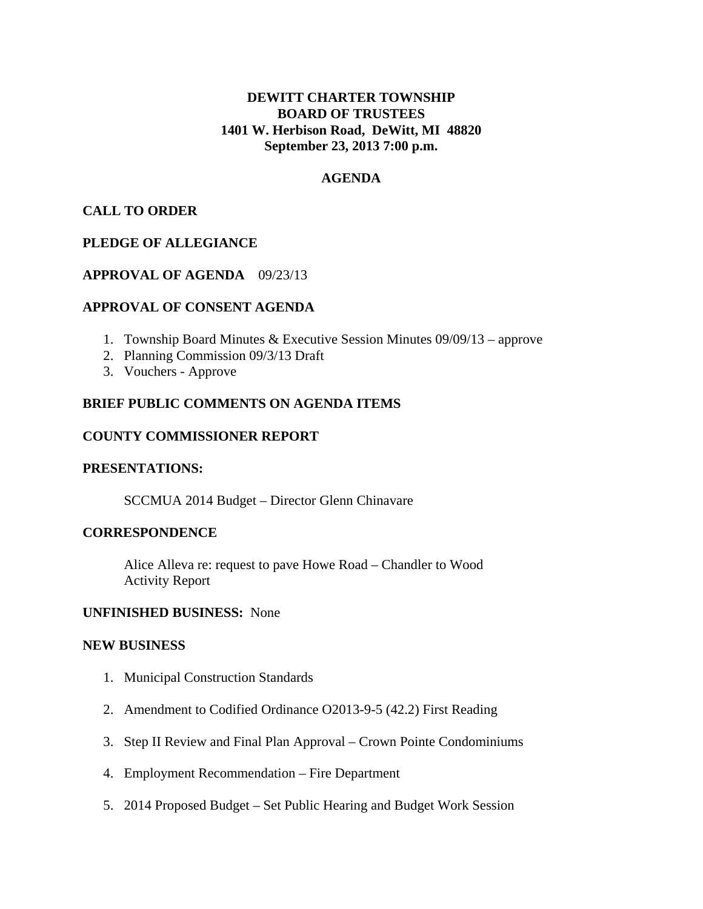# **DEWITT CHARTER TOWNSHIP BOARD OF TRUSTEES 1401 W. Herbison Road, DeWitt, MI 48820 September 23, 2013 7:00 p.m.**

### **AGENDA**

## **CALL TO ORDER**

## **PLEDGE OF ALLEGIANCE**

## **APPROVAL OF AGENDA** 09/23/13

## **APPROVAL OF CONSENT AGENDA**

- 1. Township Board Minutes & Executive Session Minutes 09/09/13 approve
- 2. Planning Commission 09/3/13 Draft
- 3. Vouchers Approve

## **BRIEF PUBLIC COMMENTS ON AGENDA ITEMS**

#### **COUNTY COMMISSIONER REPORT**

#### **PRESENTATIONS:**

SCCMUA 2014 Budget – Director Glenn Chinavare

#### **CORRESPONDENCE**

 Alice Alleva re: request to pave Howe Road – Chandler to Wood Activity Report

#### **UNFINISHED BUSINESS:** None

#### **NEW BUSINESS**

- 1. Municipal Construction Standards
- 2. Amendment to Codified Ordinance O2013-9-5 (42.2) First Reading
- 3. Step II Review and Final Plan Approval Crown Pointe Condominiums
- 4. Employment Recommendation Fire Department
- 5. 2014 Proposed Budget Set Public Hearing and Budget Work Session